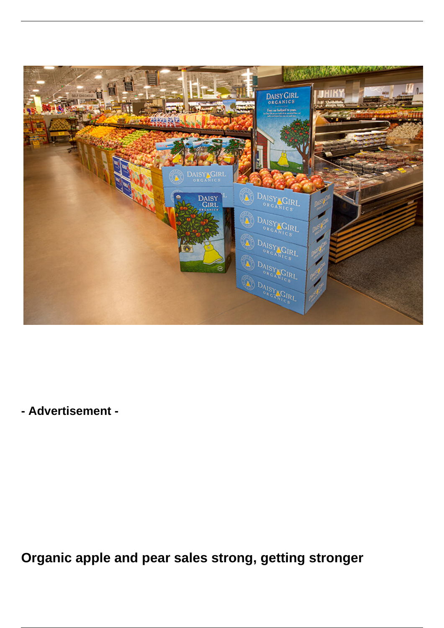

**- Advertisement -**

**Organic apple and pear sales strong, getting stronger**